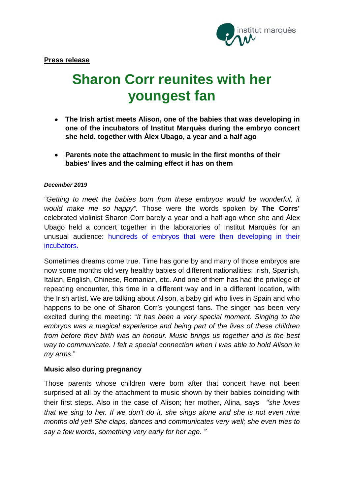

# **Sharon Corr reunites with her youngest fan**

- **The Irish artist meets Alison, one of the babies that was developing in one of the incubators of Institut Marquès during the embryo concert she held, together with Álex Ubago, a year and a half ago**
- **Parents note the attachment to music in the first months of their babies' lives and the calming effect it has on them**

## *December 2019*

*"Getting to meet the babies born from these embryos would be wonderful, it would make me so happy".* Those were the words spoken by **The Corrs'** celebrated violinist Sharon Corr barely a year and a half ago when she and Álex Ubago held a concert together in the laboratories of Institut Marquès for an unusual audience: **hundreds of embryos that were then developing in their** [incubators](https://www.institutmarques.ie/special-techniques/music-and-fertilisation/).

Sometimes dreams come true. Time has gone by and many of those embryos are now some months old very healthy babies of different nationalities: Irish, Spanish, Italian, English, Chinese, Romanian, etc. And one of them has had the privilege of repeating encounter, this time in a different way and in a different location, with the Irish artist. We are talking about Alison, a baby girl who lives in Spain and who happens to be one of Sharon Corr's youngest fans. The singer has been very excited during the meeting: "*It has been a very special moment. Singing to the embryos was a magical experience and being part of the lives of these children from before their birth was an honour. Music brings us together and is the best way to communicate. I felt a special connection when I was able to hold Alison in my arms*."

# **Music also during pregnancy**

Those parents whose children were born after that concert have not been surprised at all by the attachment to music shown by their babies coinciding with their first steps. Also in the case of Alison; her mother, Alina, says "*she loves that we sing to her. If we don't do it, she sings alone and she is not even nine months old yet! She claps, dances and communicates very well; she even tries to say a few words, something very early for her age.*"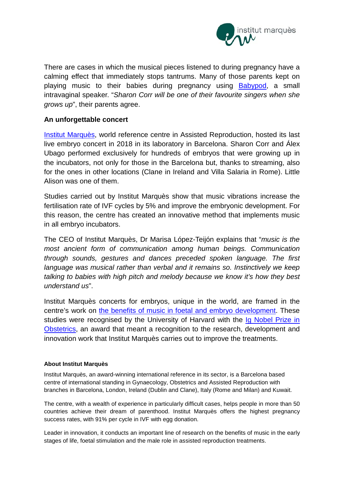

There are cases in which the musical pieces listened to during pregnancy have a calming effect that immediately stops tantrums. Many of those parents kept on playing music to their babies during pregnancy using [Babypod,](https://babypod.net/) a small intravaginal speaker. "*Sharon Corr will be one of their favourite singers when she grows up*", their parents agree.

# **An unforgettable concert**

[Institut Marquès,](http://www.institutmarques.ie/) world reference centre in Assisted Reproduction, hosted its last live embryo concert in 2018 in its laboratory in Barcelona. Sharon Corr and Álex Ubago performed exclusively for hundreds of embryos that were growing up in the incubators, not only for those in the Barcelona but, thanks to streaming, also for the ones in other locations (Clane in Ireland and Villa Salaria in Rome). Little Alison was one of them.

Studies carried out by Institut Marquès show that music vibrations increase the fertilisation rate of IVF cycles by 5% and improve the embryonic development. For this reason, the centre has created an innovative method that implements music in all embryo incubators.

The CEO of Institut Marquès, Dr Marisa López-Teijón explains that "*music is the most ancient form of communication among human beings. Communication through sounds, gestures and dances preceded spoken language. The first language was musical rather than verbal and it remains so. Instinctively we keep talking to babies with high pitch and melody because we know it's how they best understand us*".

Institut Marquès concerts for embryos, unique in the world, are framed in the centre's work on the benefits of music in foetal and embryo [development.](https://institutomarques.com/en/scientific-area/response-fetus-vaginal-music-2/) These studies were recognised by the University of Harvard with the Ig [Nobel](https://www.institutmarques.ie/news/news-2017/studies-music-renowned-massachusetts-institute-technology/) Prize in Obstetrics, an award that meant a recognition to the research, development and innovation work that Institut Marquès carries out to improve the treatments.

## **About Institut Marquès**

Institut Marquès, an award-winning international reference in its sector, is a Barcelona based centre of international standing in Gynaecology, Obstetrics and Assisted Reproduction with branches in Barcelona, London, Ireland (Dublin and Clane), Italy (Rome and Milan) and Kuwait.

The centre, with a wealth of experience in particularly difficult cases, helps people in more than 50 countries achieve their dream of parenthood. Institut Marquès offers the highest pregnancy success rates, with 91% per cycle in IVF with egg donation.

Leader in innovation, it conducts an important line of research on the benefits of music in the early stages of life, foetal stimulation and the male role in assisted reproduction treatments.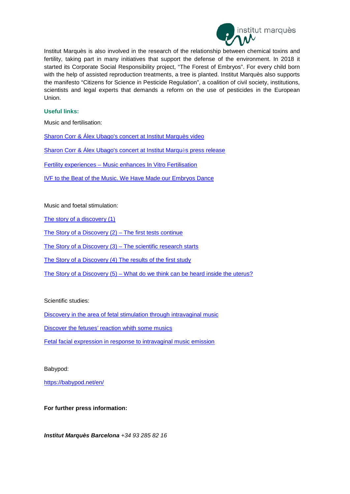

Institut Marquès is also involved in the research of the relationship between chemical toxins and fertility, taking part in many initiatives that support the defense of the environment. In 2018 it started its Corporate Social Responsibility project, "The Forest of Embryos". For every child born with the help of assisted reproduction treatments, a tree is planted. Institut Marquès also supports the manifesto "Citizens for Science in Pesticide Regulation", a coalition of civil society, institutions, scientists and legal experts that demands a reform on the use of pesticides in the European Union.

#### **Useful links:**

Music and fertilisation:

[Sharon Corr & Álex Ubago's concert at Institut Marquès video](https://youtu.be/5nppuGcVPzQ)

[Sharon Corr & Álex Ubago's concert at Institut Marqu](https://www.institutmarques.ie/wp-content/uploads/2018/05/InstitutMarqu%C3%A8s_Concierto-CorrUbagoENG-1.pdf)ès press release

Fertility experiences – [Music enhances In Vitro Fertilisation](http://www.fertility-experiences.com/music-enhances-in-vitro-fertilisation/)

[IVF to the Beat of the Music. We Have Made our Embryos Dance](http://www.fertility-experiences.com/ivf-to-the-beat-of-the-music-we-have-made-our-embryos-dance/)

Music and foetal stimulation:

[The story of a discovery \(1\)](http://www.fertility-experiences.com/the-story-of-a-discovery/)

[The Story of a Discovery \(2\) –](http://www.fertility-experiences.com/the-story-of-a-discovery-2-the-first-tests-continue/) The first tests continue

[The Story of a Discovery \(3\) –](http://www.fertility-experiences.com/the-story-of-a-discovery-3-the-scientific-research-starts/) The scientific research starts

[The Story of a Discovery \(4\) The results of the first study](http://www.fertility-experiences.com/the-story-of-a-discovery-4-the-results-of-the-first-study/)

The Story of a Discovery (5) – [What do we think can be heard inside the uterus?](http://www.fertility-experiences.com/the-story-of-a-discovery-5-what-do-we-think-can-be-heard-inside-the-uterus/)

#### Scientific studies:

[Discovery in the area of fetal stimulation through intravaginal music](https://institutomarques.com/en/scientific-area/response-fetus-vaginal-music-2/)

[Discover the fetuses' reaction whith some musics](https://institutomarques.com/en/scientific-area/response-fetus-vaginal-music-2/discover-the-fetuses-reaction-whith-some-musics/)

[Fetal facial expression in response to intravaginal music emission](http://journals.sagepub.com/doi/abs/10.1177/1742271X15609367?journalCode=ultb)

Babypod:

<https://babypod.net/en/>

**For further press information:**

*Institut Marquès Barcelona +34 93 285 82 16*